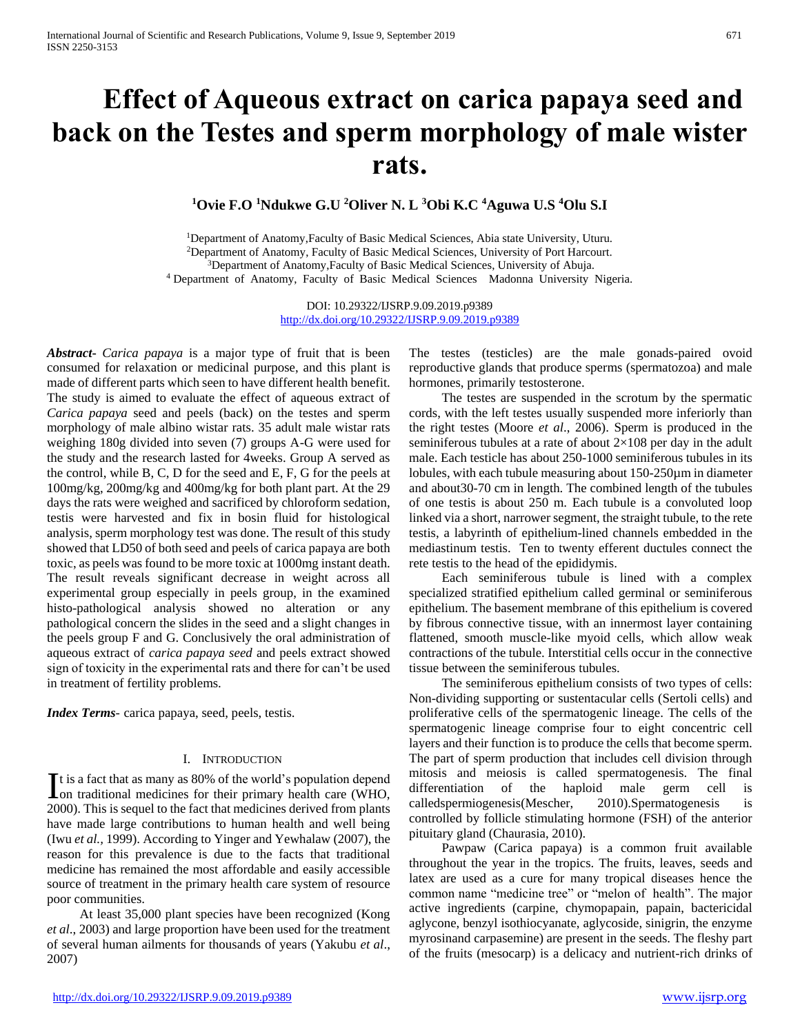# **Effect of Aqueous extract on carica papaya seed and back on the Testes and sperm morphology of male wister rats.**

**<sup>1</sup>Ovie F.O <sup>1</sup>Ndukwe G.U <sup>2</sup>Oliver N. L <sup>3</sup>Obi K.C <sup>4</sup>Aguwa U.S <sup>4</sup>Olu S.I**

Department of Anatomy,Faculty of Basic Medical Sciences, Abia state University, Uturu. Department of Anatomy, Faculty of Basic Medical Sciences, University of Port Harcourt. <sup>3</sup>Department of Anatomy, Faculty of Basic Medical Sciences, University of Abuja. Department of Anatomy, Faculty of Basic Medical Sciences Madonna University Nigeria.

> DOI: 10.29322/IJSRP.9.09.2019.p9389 <http://dx.doi.org/10.29322/IJSRP.9.09.2019.p9389>

*Abstract***-** *Carica papaya* is a major type of fruit that is been consumed for relaxation or medicinal purpose, and this plant is made of different parts which seen to have different health benefit. The study is aimed to evaluate the effect of aqueous extract of *Carica papaya* seed and peels (back) on the testes and sperm morphology of male albino wistar rats. 35 adult male wistar rats weighing 180g divided into seven (7) groups A-G were used for the study and the research lasted for 4weeks. Group A served as the control, while B, C, D for the seed and E, F, G for the peels at 100mg/kg, 200mg/kg and 400mg/kg for both plant part. At the 29 days the rats were weighed and sacrificed by chloroform sedation, testis were harvested and fix in bosin fluid for histological analysis, sperm morphology test was done. The result of this study showed that LD50 of both seed and peels of carica papaya are both toxic, as peels was found to be more toxic at 1000mg instant death. The result reveals significant decrease in weight across all experimental group especially in peels group, in the examined histo-pathological analysis showed no alteration or any pathological concern the slides in the seed and a slight changes in the peels group F and G. Conclusively the oral administration of aqueous extract of *carica papaya seed* and peels extract showed sign of toxicity in the experimental rats and there for can't be used in treatment of fertility problems.

*Index Terms*- carica papaya, seed, peels, testis.

#### I. INTRODUCTION

t is a fact that as many as 80% of the world's population depend It is a fact that as many as 80% of the world's population depend<br>
con traditional medicines for their primary health care (WHO, 2000). This is sequel to the fact that medicines derived from plants have made large contributions to human health and well being (Iwu *et al.,* 1999). According to Yinger and Yewhalaw (2007), the reason for this prevalence is due to the facts that traditional medicine has remained the most affordable and easily accessible source of treatment in the primary health care system of resource poor communities.

 At least 35,000 plant species have been recognized (Kong *et al*., 2003) and large proportion have been used for the treatment of several human ailments for thousands of years (Yakubu *et al*., 2007)

The testes (testicles) are the male gonads-paired ovoid reproductive glands that produce sperms (spermatozoa) and male hormones, primarily testosterone.

 The testes are suspended in the scrotum by the spermatic cords, with the left testes usually suspended more inferiorly than the right testes (Moore *et al*., 2006). Sperm is produced in the seminiferous tubules at a rate of about  $2\times108$  per day in the adult male. Each testicle has about 250-1000 seminiferous tubules in its lobules, with each tubule measuring about 150-250µm in diameter and about30-70 cm in length. The combined length of the tubules of one testis is about 250 m. Each tubule is a convoluted loop linked via a short, narrower segment, the straight tubule, to the rete testis, a labyrinth of epithelium-lined channels embedded in the mediastinum testis. Ten to twenty efferent ductules connect the rete testis to the head of the epididymis.

 Each seminiferous tubule is lined with a complex specialized stratified epithelium called germinal or seminiferous epithelium. The basement membrane of this epithelium is covered by fibrous connective tissue, with an innermost layer containing flattened, smooth muscle-like myoid cells, which allow weak contractions of the tubule. Interstitial cells occur in the connective tissue between the seminiferous tubules.

 The seminiferous epithelium consists of two types of cells: Non-dividing supporting or sustentacular cells (Sertoli cells) and proliferative cells of the spermatogenic lineage. The cells of the spermatogenic lineage comprise four to eight concentric cell layers and their function is to produce the cells that become sperm. The part of sperm production that includes cell division through mitosis and meiosis is called spermatogenesis. The final differentiation of the haploid male germ cell is calledspermiogenesis(Mescher, 2010).Spermatogenesis is controlled by follicle stimulating hormone (FSH) of the anterior pituitary gland (Chaurasia, 2010).

 Pawpaw (Carica papaya) is a common fruit available throughout the year in the tropics. The fruits, leaves, seeds and latex are used as a cure for many tropical diseases hence the common name "medicine tree" or "melon of health". The major active ingredients (carpine, chymopapain, papain, bactericidal aglycone, benzyl isothiocyanate, aglycoside, sinigrin, the enzyme myrosinand carpasemine) are present in the seeds. The fleshy part of the fruits (mesocarp) is a delicacy and nutrient-rich drinks of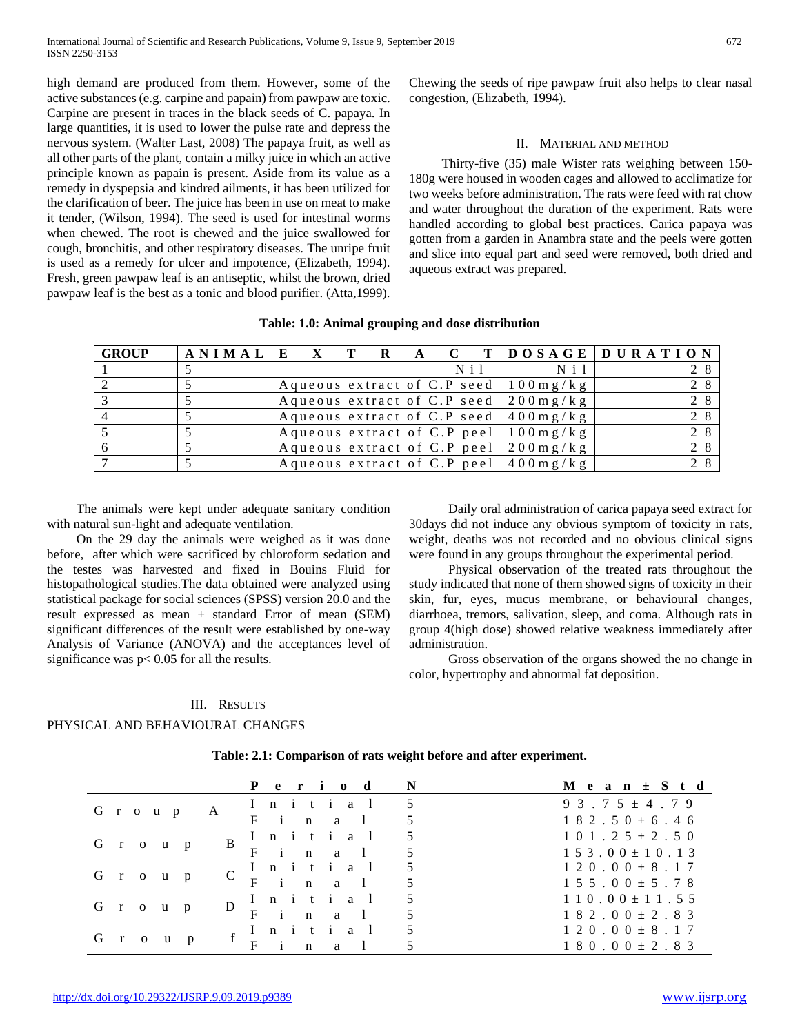high demand are produced from them. However, some of the active substances (e.g. carpine and papain) from pawpaw are toxic. Carpine are present in traces in the black seeds of C. papaya. In large quantities, it is used to lower the pulse rate and depress the nervous system. (Walter Last, 2008) The papaya fruit, as well as all other parts of the plant, contain a milky juice in which an active principle known as papain is present. Aside from its value as a remedy in dyspepsia and kindred ailments, it has been utilized for the clarification of beer. The juice has been in use on meat to make it tender, (Wilson, 1994). The seed is used for intestinal worms when chewed. The root is chewed and the juice swallowed for cough, bronchitis, and other respiratory diseases. The unripe fruit is used as a remedy for ulcer and impotence, (Elizabeth, 1994). Fresh, green pawpaw leaf is an antiseptic, whilst the brown, dried pawpaw leaf is the best as a tonic and blood purifier. (Atta,1999).

Chewing the seeds of ripe pawpaw fruit also helps to clear nasal congestion, (Elizabeth, 1994).

#### II. MATERIAL AND METHOD

 Thirty-five (35) male Wister rats weighing between 150- 180g were housed in wooden cages and allowed to acclimatize for two weeks before administration. The rats were feed with rat chow and water throughout the duration of the experiment. Rats were handled according to global best practices. Carica papaya was gotten from a garden in Anambra state and the peels were gotten and slice into equal part and seed were removed, both dried and aqueous extract was prepared.

| <b>GROUP</b> | A N I M A L E |  |  |                  |                                                  | X T R A C T DOSAGE DURATION |
|--------------|---------------|--|--|------------------|--------------------------------------------------|-----------------------------|
|              |               |  |  | N <sub>i</sub> 1 | $N_i$ i 1                                        |                             |
|              |               |  |  |                  | Aqueous extract of C.P seed $100 \text{ m g/kg}$ | 2 8                         |
|              |               |  |  |                  | Aqueous extract of C.P seed $200 \text{ m g/kg}$ | 2 8                         |
|              |               |  |  |                  | Aqueous extract of C.P seed $400 \text{ m g/kg}$ | 2 8                         |
|              |               |  |  |                  | Aqueous extract of C.P peel $100 \text{ m g/kg}$ | 2 8                         |
| 6            |               |  |  |                  | Aqueous extract of C.P peel $200mg/kg$           | 2 8                         |
|              |               |  |  |                  | Aqueous extract of C.P peel $400mg/kg$           |                             |

#### **Table: 1.0: Animal grouping and dose distribution**

 The animals were kept under adequate sanitary condition with natural sun-light and adequate ventilation.

 On the 29 day the animals were weighed as it was done before, after which were sacrificed by chloroform sedation and the testes was harvested and fixed in Bouins Fluid for histopathological studies.The data obtained were analyzed using statistical package for social sciences (SPSS) version 20.0 and the result expressed as mean ± standard Error of mean (SEM) significant differences of the result were established by one-way Analysis of Variance (ANOVA) and the acceptances level of significance was p< 0.05 for all the results.

 Daily oral administration of carica papaya seed extract for 30days did not induce any obvious symptom of toxicity in rats, weight, deaths was not recorded and no obvious clinical signs were found in any groups throughout the experimental period.

 Physical observation of the treated rats throughout the study indicated that none of them showed signs of toxicity in their skin, fur, eyes, mucus membrane, or behavioural changes, diarrhoea, tremors, salivation, sleep, and coma. Although rats in group 4(high dose) showed relative weakness immediately after administration.

 Gross observation of the organs showed the no change in color, hypertrophy and abnormal fat deposition.

## III. RESULTS

#### PHYSICAL AND BEHAVIOURAL CHANGES

|               | Period                            | $\mathbf N$ | $M$ e a n $\pm$ S t d               |
|---------------|-----------------------------------|-------------|-------------------------------------|
| Group         | Initial<br>A                      | 5           | $93.75 \pm 4.79$                    |
|               | $F$ i<br>n a l                    |             | $182.50 \pm 6.46$                   |
|               | Initial                           |             | $1\;0\;1\;.\;2\;5\;\pm\;2\;.\;5\;0$ |
| G r o u<br>p  | B<br>in al<br>F                   | 5           | $1\ 5\ 3\ 0\ 0\pm1\ 0\ 1\ 3$        |
|               | Initial                           | 5           | $120.00 \pm 8.17$                   |
| G r o u<br>p  | C<br>F<br>i<br>$\mathbf n$<br>a a |             | $1\;5\;5\;.\;0\;0\;\pm\;5\;.\;7\;8$ |
|               | Initial<br>D                      |             | $110.00 \pm 11.55$                  |
| G r o u<br>p  | F<br>$\mathbf{i}$<br>n a l        |             | $182.00 \pm 2.83$                   |
| $G \t r \t o$ | t i al<br>$n \in$                 |             | $120.00 \pm 8.17$                   |
| $\mathbf{u}$  | $\mathbf n$<br>a                  |             | $180.00 \pm 2.83$                   |

**Table: 2.1: Comparison of rats weight before and after experiment.**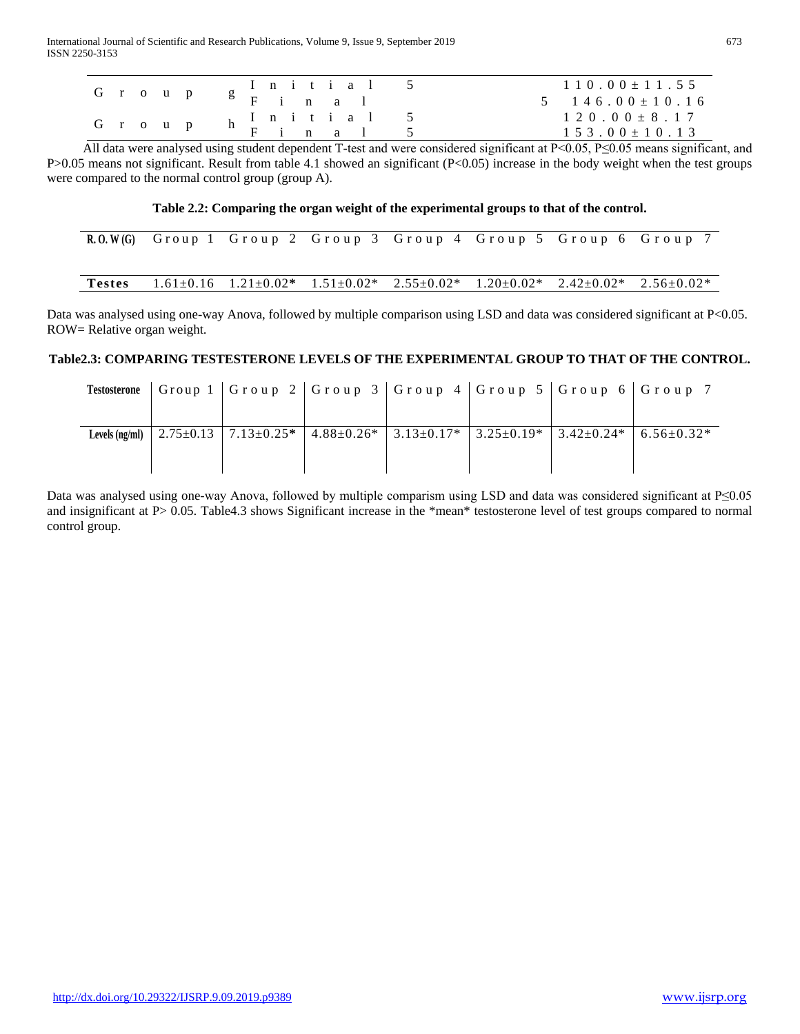| G r o u p |  |  |  |                                                                                   |  | $110.00 \pm 11.55$<br>$5 \t146.00 \pm 10.16$ |
|-----------|--|--|--|-----------------------------------------------------------------------------------|--|----------------------------------------------|
| G r o u p |  |  |  | $\begin{array}{ccccccccccccc}\nh&I&n&i&t&i&a&1&5\\ \nh&F&i&n&a&1&5\\ \end{array}$ |  | $120.00 \pm 8.17$<br>$153.00 \pm 10.13$      |

All data were analysed using student dependent T-test and were considered significant at  $P<0.05$ ,  $P\leq0.05$  means significant, and P>0.05 means not significant. Result from table 4.1 showed an significant (P<0.05) increase in the body weight when the test groups were compared to the normal control group (group A).

## **Table 2.2: Comparing the organ weight of the experimental groups to that of the control.**

|               |  |  | R.O.W(G) Group 1 Group 2 Group 3 Group 4 Group 5 Group 6 Group 7                                              |  |
|---------------|--|--|---------------------------------------------------------------------------------------------------------------|--|
| <b>Testes</b> |  |  | $1.61\pm0.16$ $1.21\pm0.02^*$ $1.51\pm0.02^*$ $2.55\pm0.02^*$ $1.20\pm0.02^*$ $2.42\pm0.02^*$ $2.56\pm0.02^*$ |  |

Data was analysed using one-way Anova, followed by multiple comparison using LSD and data was considered significant at P<0.05. ROW= Relative organ weight.

# **Table2.3: COMPARING TESTESTERONE LEVELS OF THE EXPERIMENTAL GROUP TO THAT OF THE CONTROL.**

|                  |  | Testosterone   Group 1   Group 2   Group 3   Group 4   Group 5   Group 6   Group 7                                           |  |  |
|------------------|--|------------------------------------------------------------------------------------------------------------------------------|--|--|
| Levels $(ng/ml)$ |  | $\mid$ 2.75±0.13 $\mid$ 7.13±0.25* $\mid$ 4.88±0.26* $\mid$ 3.13±0.17* $\mid$ 3.25±0.19* $\mid$ 3.42±0.24* $\mid$ 6.56±0.32* |  |  |

Data was analysed using one-way Anova, followed by multiple comparism using LSD and data was considered significant at P≤0.05 and insignificant at P> 0.05. Table4.3 shows Significant increase in the \*mean\* testosterone level of test groups compared to normal control group.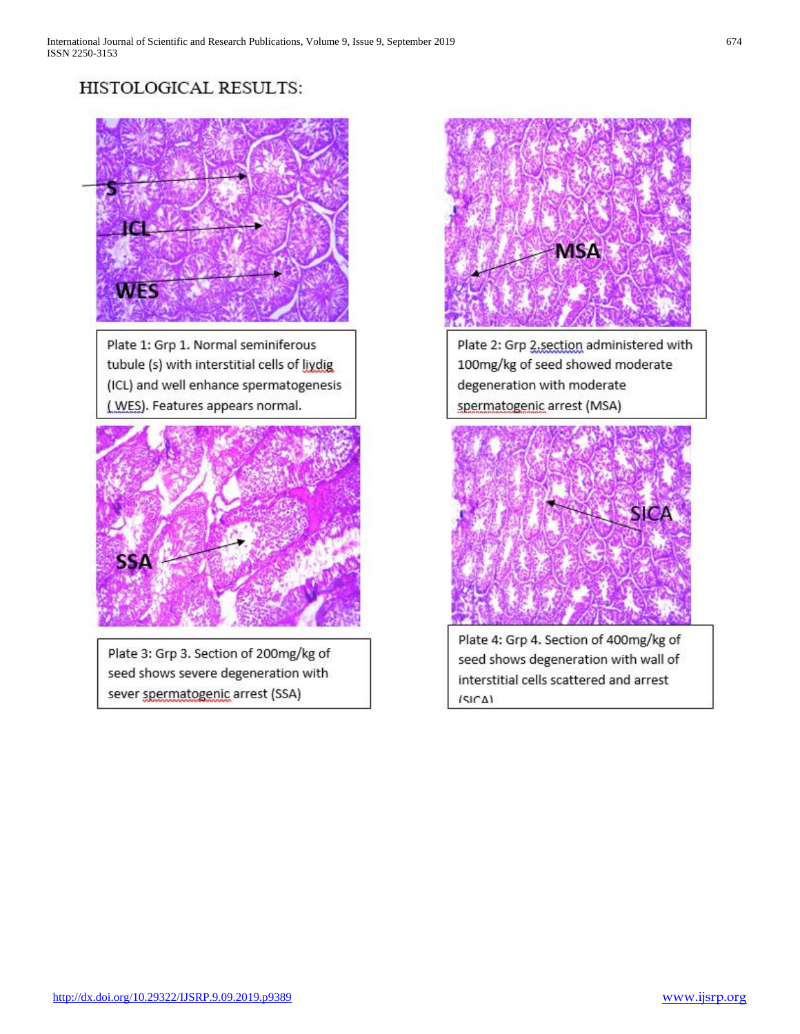# HISTOLOGICAL RESULTS:



Plate 1: Grp 1. Normal seminiferous tubule (s) with interstitial cells of liydig (ICL) and well enhance spermatogenesis (WES). Features appears normal.



Plate 3: Grp 3. Section of 200mg/kg of seed shows severe degeneration with sever spermatogenic arrest (SSA)



Plate 2: Grp 2.section administered with 100mg/kg of seed showed moderate degeneration with moderate spermatogenic arrest (MSA)



Plate 4: Grp 4. Section of 400mg/kg of seed shows degeneration with wall of interstitial cells scattered and arrest  $|A| |A|$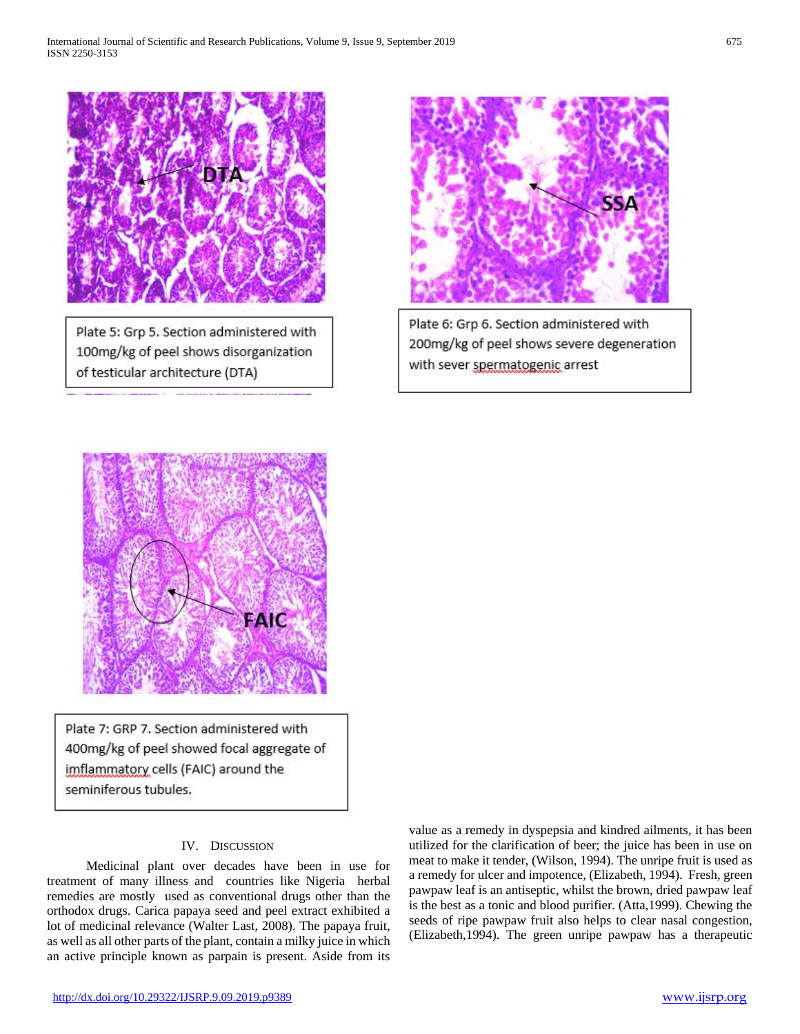

Plate 5: Grp 5. Section administered with 100mg/kg of peel shows disorganization of testicular architecture (DTA)



Plate 6: Grp 6. Section administered with 200mg/kg of peel shows severe degeneration with sever spermatogenic arrest



Plate 7: GRP 7. Section administered with 400mg/kg of peel showed focal aggregate of imflammatory cells (FAIC) around the seminiferous tubules.

# IV. DISCUSSION

 Medicinal plant over decades have been in use for treatment of many illness and countries like Nigeria herbal remedies are mostly used as conventional drugs other than the orthodox drugs. Carica papaya seed and peel extract exhibited a lot of medicinal relevance (Walter Last, 2008). The papaya fruit, as well as all other parts of the plant, contain a milky juice in which an active principle known as parpain is present. Aside from its

value as a remedy in dyspepsia and kindred ailments, it has been utilized for the clarification of beer; the juice has been in use on meat to make it tender, (Wilson, 1994). The unripe fruit is used as a remedy for ulcer and impotence, (Elizabeth, 1994). Fresh, green pawpaw leaf is an antiseptic, whilst the brown, dried pawpaw leaf is the best as a tonic and blood purifier. (Atta,1999). Chewing the seeds of ripe pawpaw fruit also helps to clear nasal congestion, (Elizabeth,1994). The green unripe pawpaw has a therapeutic